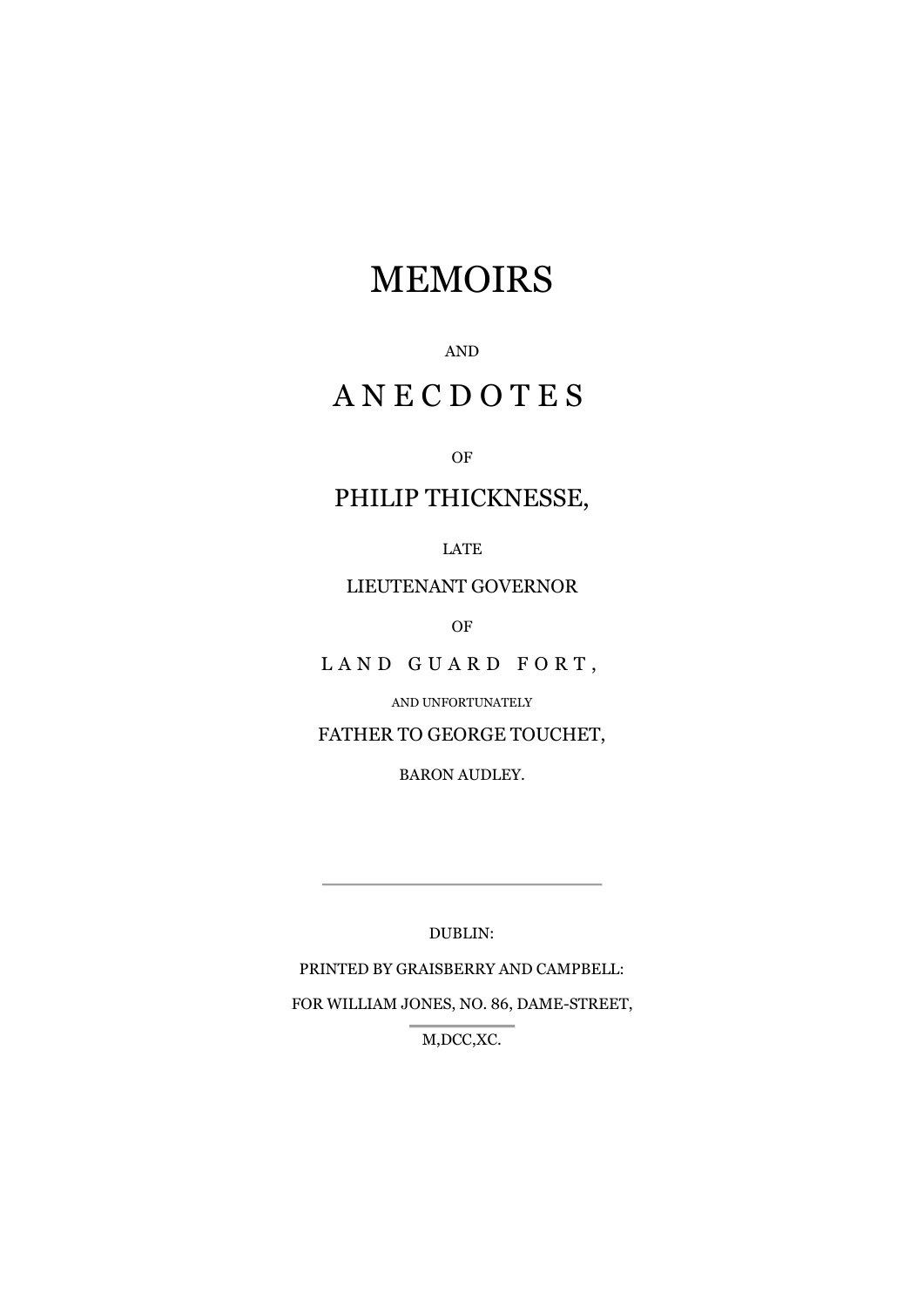# MEMOIRS

### AND

## A N E C D O T E S

#### OF

### PHILIP THICKNESSE,

LATE

### LIEUTENANT GOVERNOR

OF

LAND GUARD FORT,

AND UNFORTUNATELY

FATHER TO GEORGE TOUCHET,

BARON AUDLEY.

DUBLIN:

PRINTED BY GRAISBERRY AND CAMPBELL: FOR WILLIAM JONES, NO. 86, DAME-STREET, M,DCC,XC.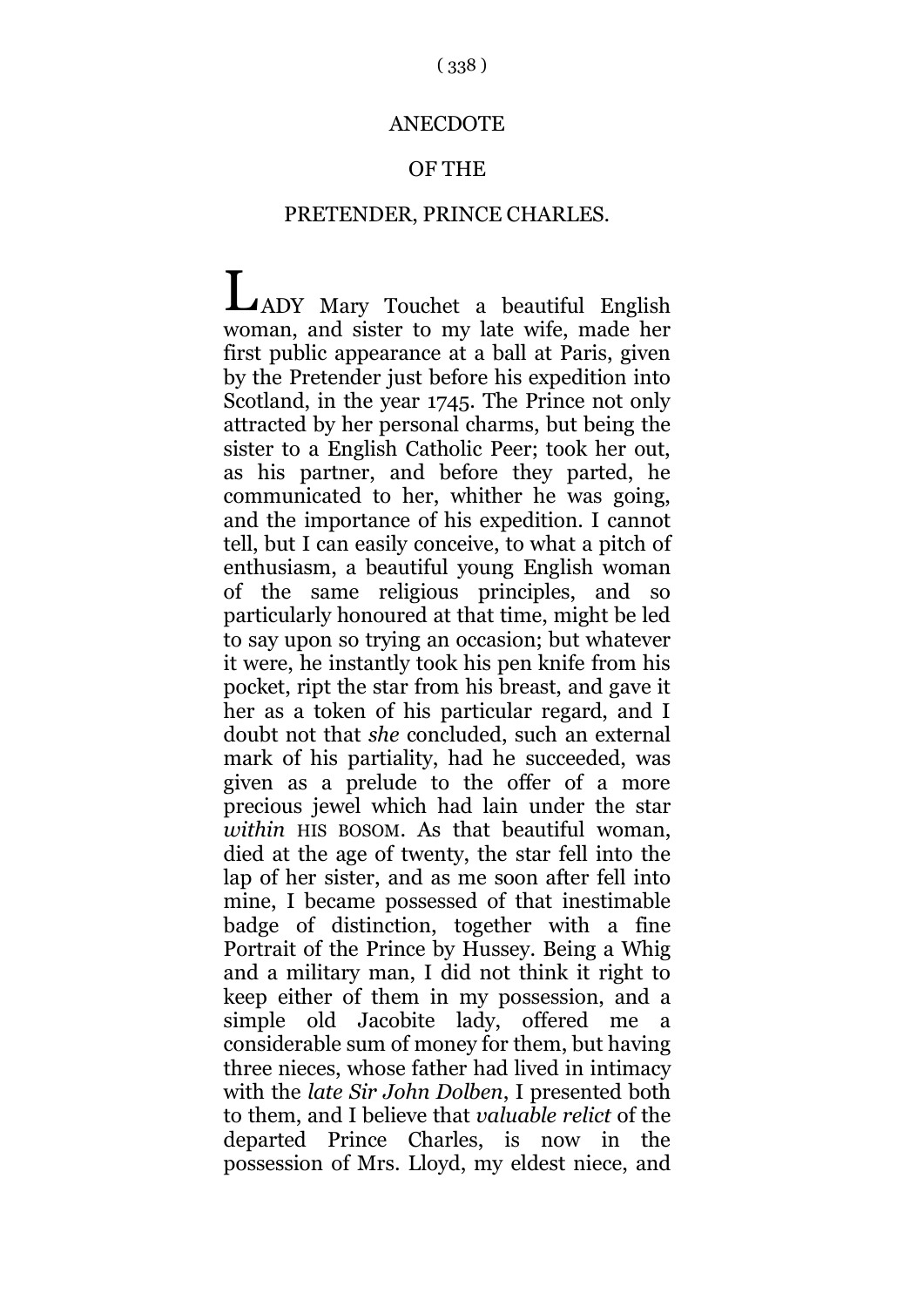### **ANECDOTE**

### OF THE

### PRETENDER, PRINCE CHARLES.

ADY Mary Touchet a beautiful English Lwoman, and sister to my late wife, made her first public appearance at a ball at Paris, given by the Pretender just before his expedition into Scotland, in the year 1745. The Prince not only attracted by her personal charms, but being the sister to a English Catholic Peer; took her out, as his partner, and before they parted, he communicated to her, whither he was going, and the importance of his expedition. I cannot tell, but I can easily conceive, to what a pitch of enthusiasm, a beautiful young English woman of the same religious principles, and so particularly honoured at that time, might be led to say upon so trying an occasion; but whatever it were, he instantly took his pen knife from his pocket, ript the star from his breast, and gave it her as a token of his particular regard, and I doubt not that *she* concluded, such an external mark of his partiality, had he succeeded, was given as a prelude to the offer of a more precious jewel which had lain under the star *within* HIS BOSOM. As that beautiful woman, died at the age of twenty, the star fell into the lap of her sister, and as me soon after fell into mine, I became possessed of that inestimable badge of distinction, together with a fine Portrait of the Prince by Hussey. Being a Whig and a military man, I did not think it right to keep either of them in my possession, and a simple old Jacobite lady, offered me a considerable sum of money for them, but having three nieces, whose father had lived in intimacy with the *late Sir John Dolben*, I presented both to them, and I believe that *valuable relict* of the departed Prince Charles, is now in the possession of Mrs. Lloyd, my eldest niece, and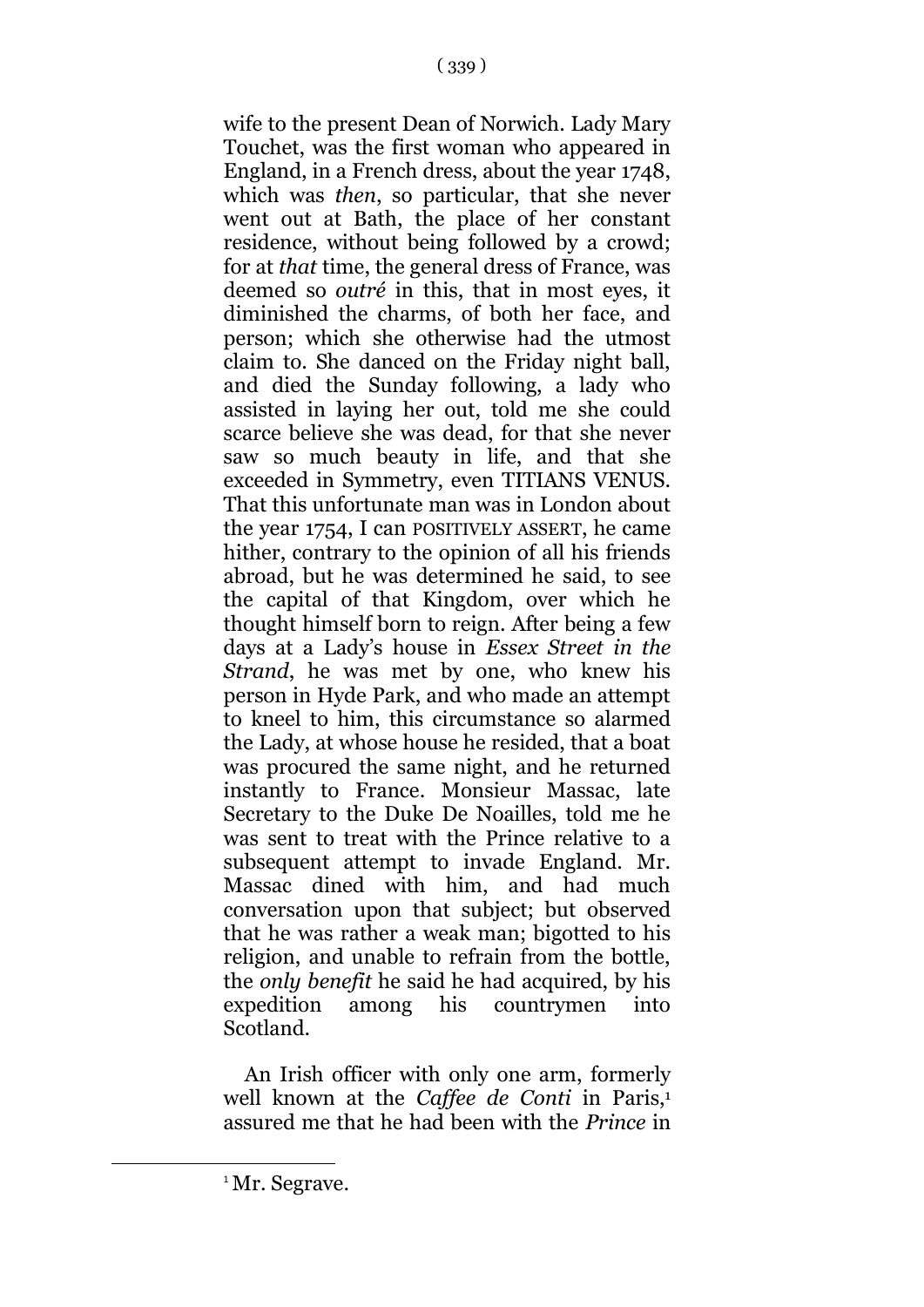wife to the present Dean of Norwich. Lady Mary Touchet, was the first woman who appeared in England, in a French dress, about the year 1748, which was *then*, so particular, that she never went out at Bath, the place of her constant residence, without being followed by a crowd; for at *that* time, the general dress of France, was deemed so *outré* in this, that in most eyes, it diminished the charms, of both her face, and person; which she otherwise had the utmost claim to. She danced on the Friday night ball, and died the Sunday following, a lady who assisted in laying her out, told me she could scarce believe she was dead, for that she never saw so much beauty in life, and that she exceeded in Symmetry, even TITIANS VENUS. That this unfortunate man was in London about the year 1754, I can POSITIVELY ASSERT, he came hither, contrary to the opinion of all his friends abroad, but he was determined he said, to see the capital of that Kingdom, over which he thought himself born to reign. After being a few days at a Lady's house in *Essex Street in the Strand*, he was met by one, who knew his person in Hyde Park, and who made an attempt to kneel to him, this circumstance so alarmed the Lady, at whose house he resided, that a boat was procured the same night, and he returned instantly to France. Monsieur Massac, late Secretary to the Duke De Noailles, told me he was sent to treat with the Prince relative to a subsequent attempt to invade England. Mr. Massac dined with him, and had much conversation upon that subject; but observed that he was rather a weak man; bigotted to his religion, and unable to refrain from the bottle, the *only benefit* he said he had acquired, by his expedition among his countrymen into Scotland.

An Irish officer with only one arm, formerly well known at the *Caffee de Conti* in Paris,<sup>1</sup> assured me that he had been with the *Prince* in

1

<sup>&</sup>lt;sup>1</sup>Mr. Segrave.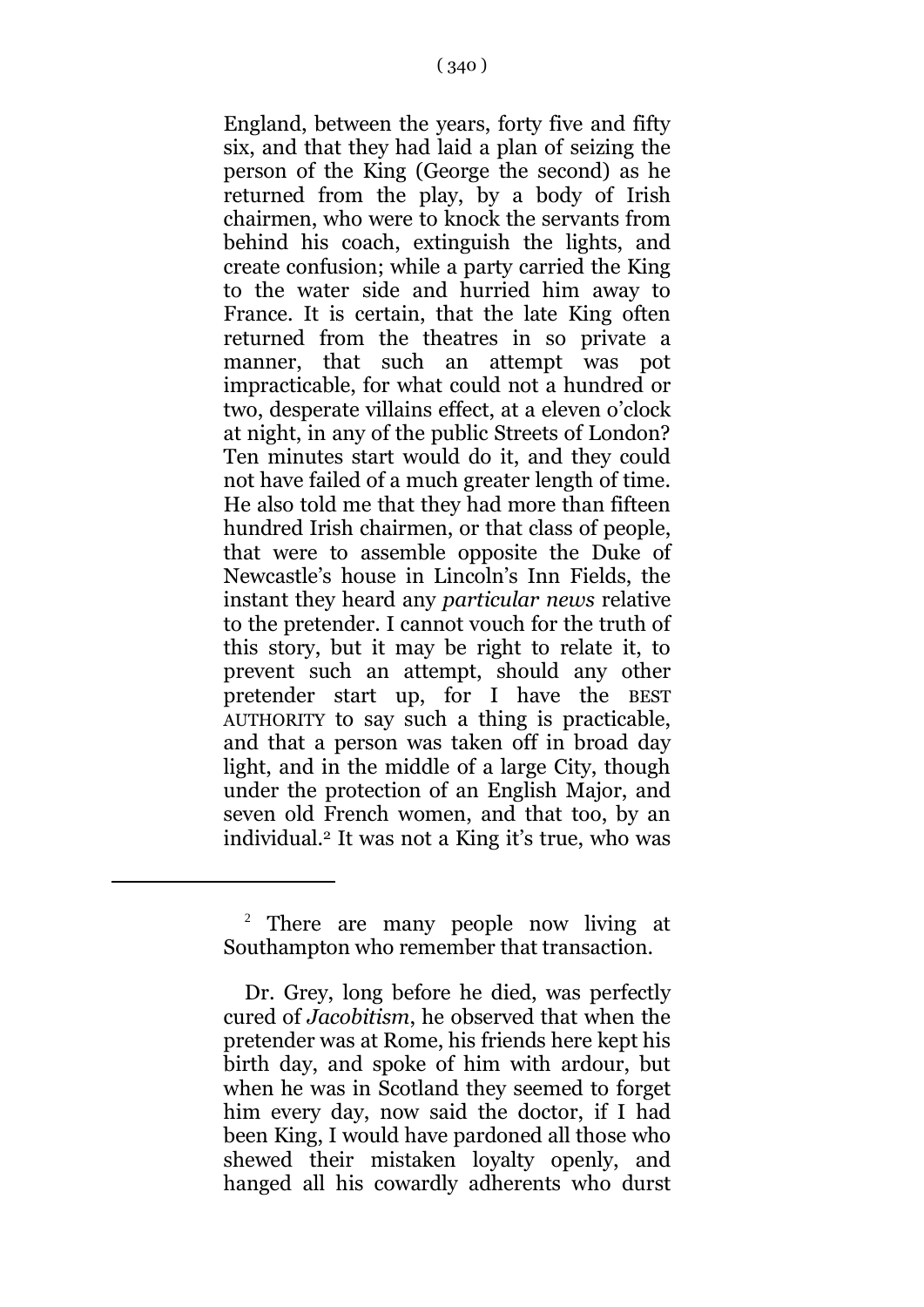England, between the years, forty five and fifty six, and that they had laid a plan of seizing the person of the King (George the second) as he returned from the play, by a body of Irish chairmen, who were to knock the servants from behind his coach, extinguish the lights, and create confusion; while a party carried the King to the water side and hurried him away to France. It is certain, that the late King often returned from the theatres in so private a manner, that such an attempt was pot impracticable, for what could not a hundred or two, desperate villains effect, at a eleven o'clock at night, in any of the public Streets of London? Ten minutes start would do it, and they could not have failed of a much greater length of time. He also told me that they had more than fifteen hundred Irish chairmen, or that class of people, that were to assemble opposite the Duke of Newcastle's house in Lincoln's Inn Fields, the instant they heard any *particular news* relative to the pretender. I cannot vouch for the truth of this story, but it may be right to relate it, to prevent such an attempt, should any other pretender start up, for I have the BEST AUTHORITY to say such a thing is practicable, and that a person was taken off in broad day light, and in the middle of a large City, though under the protection of an English Major, and seven old French women, and that too, by an individual.<sup>2</sup> It was not a King it's true, who was

1

<sup>&</sup>lt;sup>2</sup> There are many people now living at Southampton who remember that transaction.

Dr. Grey, long before he died, was perfectly cured of *Jacobitism*, he observed that when the pretender was at Rome, his friends here kept his birth day, and spoke of him with ardour, but when he was in Scotland they seemed to forget him every day, now said the doctor, if I had been King, I would have pardoned all those who shewed their mistaken loyalty openly, and hanged all his cowardly adherents who durst